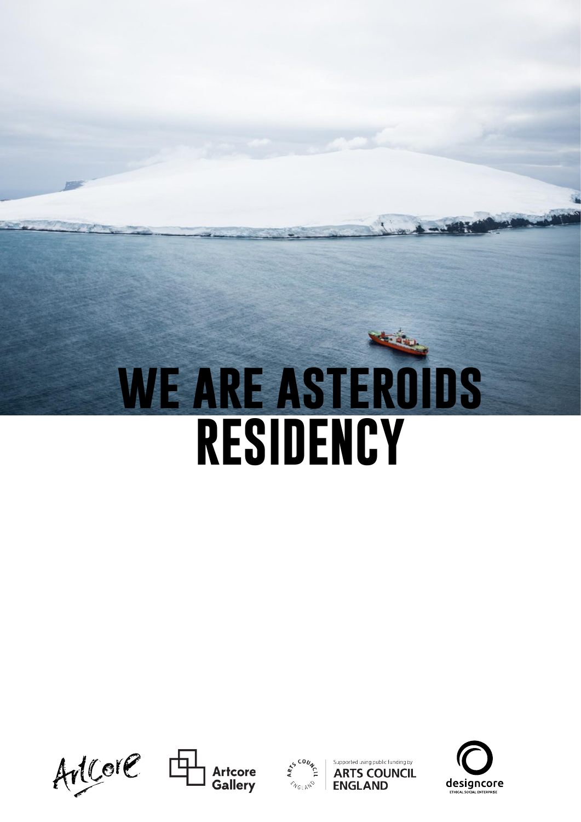# **we are asteroids RESIDENCY**







Supported using public funding by **ARTS COUNCIL ENGLAND** 

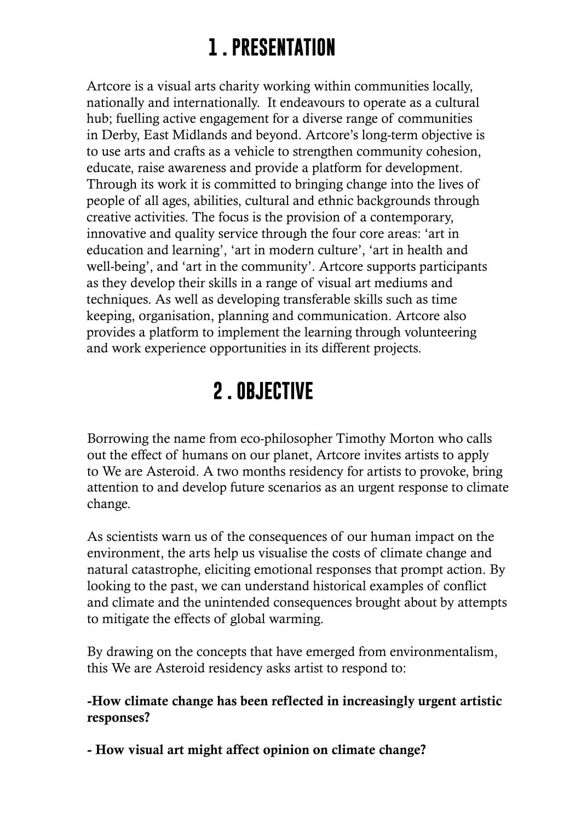# **1 . PRESENTATION**

Artcore is a visual arts charity working within communities locally, nationally and internationally. It endeavours to operate as a cultural hub; fuelling active engagement for a diverse range of communities in Derby, East Midlands and beyond. Artcore's long-term objective is to use arts and crafts as a vehicle to strengthen community cohesion, educate, raise awareness and provide a platform for development. Through its work it is committed to bringing change into the lives of people of all ages, abilities, cultural and ethnic backgrounds through creative activities. The focus is the provision of a contemporary, innovative and quality service through the four core areas: 'art in education and learning', 'art in modern culture', 'art in health and well-being', and 'art in the community'. Artcore supports participants as they develop their skills in a range of visual art mediums and techniques. As well as developing transferable skills such as time keeping, organisation, planning and communication. Artcore also provides a platform to implement the learning through volunteering and work experience opportunities in its different projects.

### **2 . OBJECTIVE**

Borrowing the name from eco-philosopher Timothy Morton who calls out the effect of humans on our planet, Artcore invites artists to apply to We are Asteroid. A two months residency for artists to provoke, bring attention to and develop future scenarios as an urgent response to climate change.

As scientists warn us of the consequences of our human impact on the environment, the arts help us visualise the costs of climate change and natural catastrophe, eliciting emotional responses that prompt action. By looking to the past, we can understand historical examples of conflict and climate and the unintended consequences brought about by attempts to mitigate the effects of global warming.

By drawing on the concepts that have emerged from environmentalism, this We are Asteroid residency asks artist to respond to:

#### -How climate change has been reflected in increasingly urgent artistic responses?

- How visual art might affect opinion on climate change?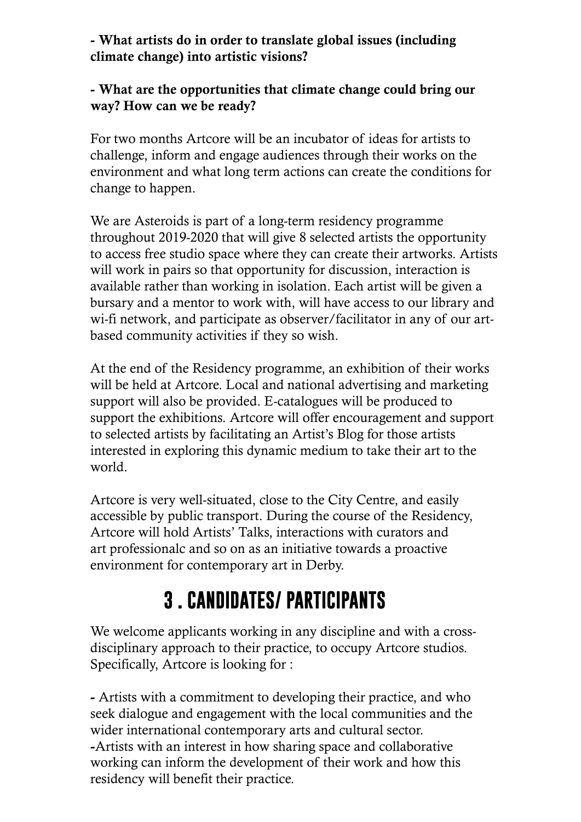#### - What artists do in order to translate global issues (including climate change) into artistic visions?

#### - What are the opportunities that climate change could bring our way? How can we be ready?

For two months Artcore will be an incubator of ideas for artists to challenge, inform and engage audiences through their works on the environment and what long term actions can create the conditions for change to happen.

We are Asteroids is part of a long-term residency programme throughout 2019-2020 that will give 8 selected artists the opportunity to access free studio space where they can create their artworks. Artists will work in pairs so that opportunity for discussion, interaction is available rather than working in isolation. Each artist will be given a bursary and a mentor to work with, will have access to our library and wi-fi network, and participate as observer/facilitator in any of our artbased community activities if they so wish.

At the end of the Residency programme, an exhibition of their works will be held at Artcore. Local and national advertising and marketing support will also be provided. E-catalogues will be produced to support the exhibitions. Artcore will offer encouragement and support to selected artists by facilitating an Artist's Blog for those artists interested in exploring this dynamic medium to take their art to the world.

Artcore is very well-situated, close to the City Centre, and easily accessible by public transport. During the course of the Residency, Artcore will hold Artists' Talks, interactions with curators and art professionalc and so on as an initiative towards a proactive environment for contemporary art in Derby.

# **3 . CANDIDATES/ PARTICIPANTS**

We welcome applicants working in any discipline and with a crossdisciplinary approach to their practice, to occupy Artcore studios. Specifically, Artcore is looking for :

- Artists with a commitment to developing their practice, and who seek dialogue and engagement with the local communities and the wider international contemporary arts and cultural sector. -Artists with an interest in how sharing space and collaborative working can inform the development of their work and how this residency will benefit their practice.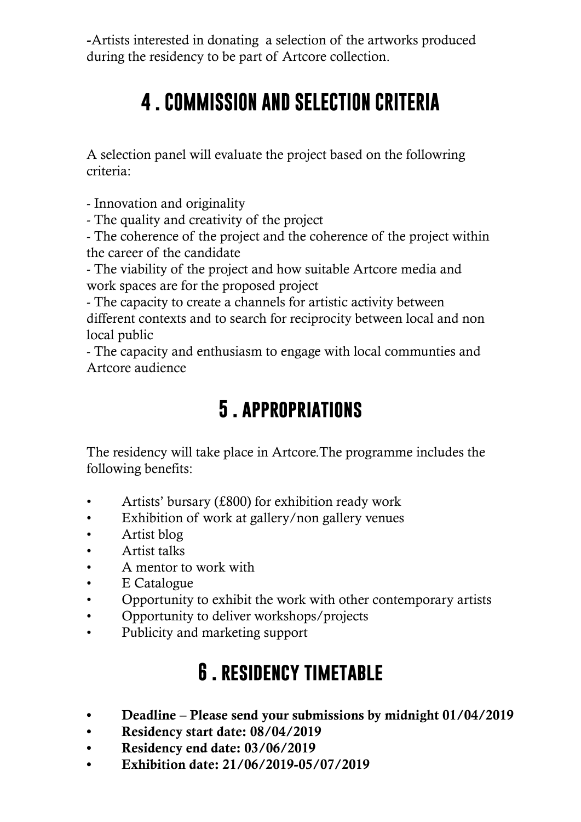-Artists interested in donating a selection of the artworks produced during the residency to be part of Artcore collection.

## **4 . COMMISSION AND SELECTION CRITERIA**

A selection panel will evaluate the project based on the followring criteria:

- Innovation and originality

- The quality and creativity of the project

- The coherence of the project and the coherence of the project within the career of the candidate

- The viability of the project and how suitable Artcore media and work spaces are for the proposed project

- The capacity to create a channels for artistic activity between different contexts and to search for reciprocity between local and non local public

- The capacity and enthusiasm to engage with local communties and Artcore audience

#### **5 . appropriations**

The residency will take place in Artcore.The programme includes the following benefits:

- Artists' bursary (£800) for exhibition ready work
- Exhibition of work at gallery/non gallery venues
- Artist blog
- • Artist talks
- A mentor to work with
- E Catalogue
- Opportunity to exhibit the work with other contemporary artists
- • Opportunity to deliver workshops/projects
- • Publicity and marketing support

#### **6 . residency timetable**

- Deadline Please send your submissions by midnight 01/04/2019
- Residency start date: 08/04/2019
- Residency end date: 03/06/2019
- • Exhibition date: 21/06/2019-05/07/2019